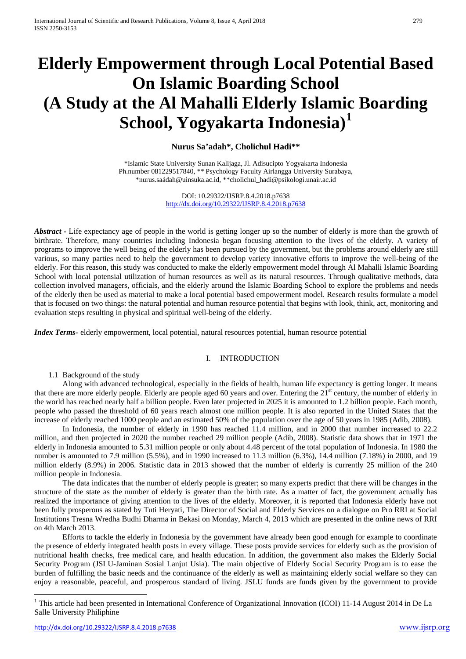# **Elderly Empowerment through Local Potential Based On Islamic Boarding School (A Study at the Al Mahalli Elderly Islamic Boarding School, Yogyakarta Indonesia) [1](#page-4-0)**

## **Nurus Sa'adah\*, Cholichul Hadi\*\***

\*Islamic State University Sunan Kalijaga, Jl. Adisucipto Yogyakarta Indonesia Ph.number 081229517840, \*\* Psychology Faculty Airlangga University Surabaya, [\\*nurus.saádah@uinsuka.ac.id,](mailto:nurus.saádah@uinsuka.ac.id) \*[\\*cholichul\\_hadi@psikologi.unair.ac.id](mailto:cholichul_hadi@psikologi.unair.ac.id)

> DOI: 10.29322/IJSRP.8.4.2018.p7638 <http://dx.doi.org/10.29322/IJSRP.8.4.2018.p7638>

*Abstract -* Life expectancy age of people in the world is getting longer up so the number of elderly is more than the growth of birthrate. Therefore, many countries including Indonesia began focusing attention to the lives of the elderly. A variety of programs to improve the well being of the elderly has been pursued by the government, but the problems around elderly are still various, so many parties need to help the government to develop variety innovative efforts to improve the well-being of the elderly. For this reason, this study was conducted to make the elderly empowerment model through Al Mahalli Islamic Boarding School with local potensial utilization of human resources as well as its natural resources. Through qualitative methods, data collection involved managers, officials, and the elderly around the Islamic Boarding School to explore the problems and needs of the elderly then be used as material to make a local potential based empowerment model. Research results formulate a model that is focused on two things: the natural potential and human resource potential that begins with look, think, act, monitoring and evaluation steps resulting in physical and spiritual well-being of the elderly.

*Index Terms-* elderly empowerment, local potential, natural resources potential, human resource potential

## I. INTRODUCTION

1.1 Background of the study

Along with advanced technological, especially in the fields of health, human life expectancy is getting longer. It means that there are more elderly people. Elderly are people aged 60 years and over. Entering the  $21<sup>st</sup>$  century, the number of elderly in the world has reached nearly half a billion people. Even later projected in 2025 it is amounted to 1.2 billion people. Each month, people who passed the threshold of 60 years reach almost one million people. It is also reported in the United States that the increase of elderly reached 1000 people and an estimated 50% of the population over the age of 50 years in 1985 (Adib, 2008).

In Indonesia, the number of elderly in 1990 has reached 11.4 million, and in 2000 that number increased to 22.2 million, and then projected in 2020 the number reached 29 million people (Adib, 2008). Statistic data shows that in 1971 the elderly in Indonesia amounted to 5.31 million people or only about 4.48 percent of the total population of Indonesia. In 1980 the number is amounted to 7.9 million (5.5%), and in 1990 increased to 11.3 million (6.3%), 14.4 million (7.18%) in 2000, and 19 million elderly (8.9%) in 2006. Statistic data in 2013 showed that the number of elderly is currently 25 million of the 240 million people in Indonesia.

The data indicates that the number of elderly people is greater; so many experts predict that there will be changes in the structure of the state as the number of elderly is greater than the birth rate. As a matter of fact, the government actually has realized the importance of giving attention to the lives of the elderly. Moreover, it is reported that Indonesia elderly have not been fully prosperous as stated by Tuti Heryati, The Director of Social and Elderly Services on a dialogue on Pro RRI at Social Institutions Tresna Wredha Budhi Dharma in Bekasi on Monday, March 4, 2013 which are presented in the online news of RRI on 4th March 2013.

Efforts to tackle the elderly in Indonesia by the government have already been good enough for example to coordinate the presence of elderly integrated health posts in every village. These posts provide services for elderly such as the provision of nutritional health checks, free medical care, and health education. In addition, the government also makes the Elderly Social Security Program (JSLU-Jaminan Sosial Lanjut Usia). The main objective of Elderly Social Security Program is to ease the burden of fulfilling the basic needs and the continuance of the elderly as well as maintaining elderly social welfare so they can enjoy a reasonable, peaceful, and prosperous standard of living. JSLU funds are funds given by the government to provide

 $\overline{\phantom{a}}$ 

<sup>&</sup>lt;sup>1</sup> This article had been presented in International Conference of Organizational Innovation (ICOI) 11-14 August 2014 in De La Salle University Philiphine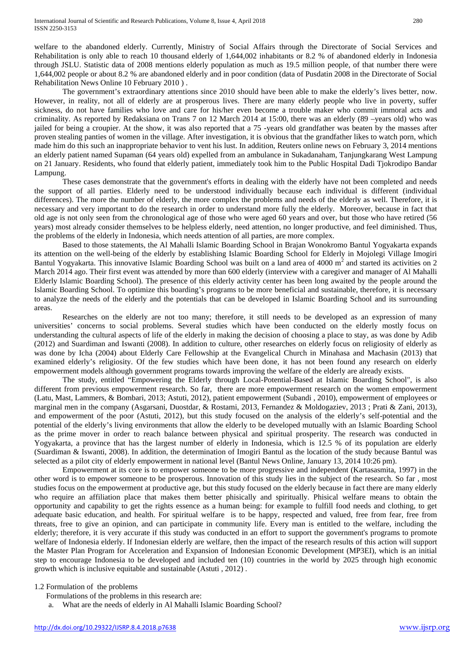welfare to the abandoned elderly. Currently, Ministry of Social Affairs through the Directorate of Social Services and Rehabilitation is only able to reach 10 thousand elderly of 1,644,002 inhabitants or 8.2 % of abandoned elderly in Indonesia through JSLU. Statistic data of 2008 mentions elderly population as much as 19.5 million people, of that number there were 1,644,002 people or about 8.2 % are abandoned elderly and in poor condition (data of Pusdatin 2008 in the Directorate of Social Rehabilitation News Online 10 February 2010 ) .

The government's extraordinary attentions since 2010 should have been able to make the elderly's lives better, now. However, in reality, not all of elderly are at prosperous lives. There are many elderly people who live in poverty, suffer sickness, do not have families who love and care for his/her even become a trouble maker who commit immoral acts and criminality. As reported by Redaksiana on Trans 7 on 12 March 2014 at 15:00, there was an elderly (89 –years old) who was jailed for being a croupier. At the show, it was also reported that a 75 -years old grandfather was beaten by the masses after proven stealing panties of women in the village. After investigation, it is obvious that the grandfather likes to watch porn, which made him do this such an inappropriate behavior to vent his lust. In addition, Reuters online news on February 3, 2014 mentions an elderly patient named Supaman (64 years old) expelled from an ambulance in Sukadanaham, Tanjungkarang West Lampung on 21 January. Residents, who found that elderly patient, immediately took him to the Public Hospital Dadi Tjokrodipo Bandar Lampung.

These cases demonstrate that the government's efforts in dealing with the elderly have not been completed and needs the support of all parties. Elderly need to be understood individually because each individual is different (individual differences). The more the number of elderly, the more complex the problems and needs of the elderly as well. Therefore, it is necessary and very important to do the research in order to understand more fully the elderly. Moreover, because in fact that old age is not only seen from the chronological age of those who were aged 60 years and over, but those who have retired (56 years) most already consider themselves to be helpless elderly, need attention, no longer productive, and feel diminished. Thus, the problems of the elderly in Indonesia, which needs attention of all parties, are more complex.

Based to those statements, the Al Mahalli Islamic Boarding School in Brajan Wonokromo Bantul Yogyakarta expands its attention on the well-being of the elderly by establishing Islamic Boarding School for Elderly in Mojolegi Village Imogiri Bantul Yogyakarta. This innovative Islamic Boarding School was built on a land area of  $4000 \text{ m}^2$  and started its activities on 2 March 2014 ago. Their first event was attended by more than 600 elderly (interview with a caregiver and manager of Al Mahalli Elderly Islamic Boarding School). The presence of this elderly activity center has been long awaited by the people around the Islamic Boarding School. To optimize this boarding's programs to be more beneficial and sustainable, therefore, it is necessary to analyze the needs of the elderly and the potentials that can be developed in Islamic Boarding School and its surrounding areas.

Researches on the elderly are not too many; therefore, it still needs to be developed as an expression of many universities' concerns to social problems. Several studies which have been conducted on the elderly mostly focus on understanding the cultural aspects of life of the elderly in making the decision of choosing a place to stay, as was done by Adib (2012) and Suardiman and Iswanti (2008). In addition to culture, other researches on elderly focus on religiosity of elderly as was done by Icha (2004) about Elderly Care Fellowship at the Evangelical Church in Minahasa and Machasin (2013) that examined elderly's religiosity. Of the few studies which have been done, it has not been found any research on elderly empowerment models although government programs towards improving the welfare of the elderly are already exists.

The study, entitled "Empowering the Elderly through Local-Potential-Based at Islamic Boarding School", is also different from previous empowerment research. So far, there are more empowerment research on the women empowerment (Latu, Mast, Lammers, & Bombari, 2013; Astuti, 2012), patient empowerment (Subandi , 2010), empowerment of employees or marginal men in the company (Asgarsani, Duostdar, & Rostami, 2013, Fernandez & Moldogaziev, 2013 ; Prati & Zani, 2013), and empowerment of the poor (Astuti, 2012), but this study focused on the analysis of the elderly's self-potential and the potential of the elderly's living environments that allow the elderly to be developed mutually with an Islamic Boarding School as the prime mover in order to reach balance between physical and spiritual prosperity. The research was conducted in Yogyakarta, a province that has the largest number of elderly in Indonesia, which is 12.5 % of its population are elderly (Suardiman & Iswanti, 2008). In addition, the determination of Imogiri Bantul as the location of the study because Bantul was selected as a pilot city of elderly empowerment in national level (Bantul News Online, January 13, 2014 10:26 pm).

Empowerment at its core is to empower someone to be more progressive and independent (Kartasasmita, 1997) in the other word is to empower someone to be prosperous. Innovation of this study lies in the subject of the research. So far , most studies focus on the empowerment at productive age, but this study focused on the elderly because in fact there are many elderly who require an affiliation place that makes them better phisically and spiritually. Phisical welfare means to obtain the opportunity and capability to get the rights essence as a human being: for example to fulfill food needs and clothing, to get adequate basic education, and health. For spiritual welfare is to be happy, respected and valued, free from fear, free from threats, free to give an opinion, and can participate in community life. Every man is entitled to the welfare, including the elderly; therefore, it is very accurate if this study was conducted in an effort to support the government's programs to promote welfare of Indonesia elderly. If Indonesian elderly are welfare, then the impact of the research results of this action will support the Master Plan Program for Acceleration and Expansion of Indonesian Economic Development (MP3EI), which is an initial step to encourage Indonesia to be developed and included ten (10) countries in the world by 2025 through high economic growth which is inclusive equitable and sustainable (Astuti , 2012) .

#### 1.2 Formulation of the problems

Formulations of the problems in this research are:

a. What are the needs of elderly in Al Mahalli Islamic Boarding School?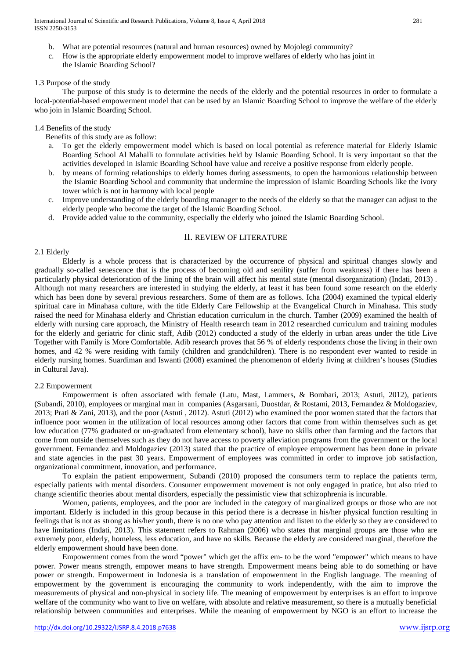c. How is the appropriate elderly empowerment model to improve welfares of elderly who has joint in the Islamic Boarding School?

#### 1.3 Purpose of the study

The purpose of this study is to determine the needs of the elderly and the potential resources in order to formulate a local-potential-based empowerment model that can be used by an Islamic Boarding School to improve the welfare of the elderly who join in Islamic Boarding School.

#### 1.4 Benefits of the study

Benefits of this study are as follow:

- a. To get the elderly empowerment model which is based on local potential as reference material for Elderly Islamic Boarding School Al Mahalli to formulate activities held by Islamic Boarding School. It is very important so that the activities developed in Islamic Boarding School have value and receive a positive response from elderly people.
- b. by means of forming relationships to elderly homes during assessments, to open the harmonious relationship between the Islamic Boarding School and community that undermine the impression of Islamic Boarding Schools like the ivory tower which is not in harmony with local people
- c. Improve understanding of the elderly boarding manager to the needs of the elderly so that the manager can adjust to the elderly people who become the target of the Islamic Boarding School.
- d. Provide added value to the community, especially the elderly who joined the Islamic Boarding School.

## II. REVIEW OF LITERATURE

#### 2.1 Elderly

Elderly is a whole process that is characterized by the occurrence of physical and spiritual changes slowly and gradually so-called senescence that is the process of becoming old and senility (suffer from weakness) if there has been a particularly physical deterioration of the lining of the brain will affect his mental state (mental disorganization) (Indati, 2013) . Although not many researchers are interested in studying the elderly, at least it has been found some research on the elderly which has been done by several previous researchers. Some of them are as follows. Icha (2004) examined the typical elderly spiritual care in Minahasa culture, with the title Elderly Care Fellowship at the Evangelical Church in Minahasa. This study raised the need for Minahasa elderly and Christian education curriculum in the church. Tamher (2009) examined the health of elderly with nursing care approach, the Ministry of Health research team in 2012 researched curriculum and training modules for the elderly and geriatric for clinic staff, Adib (2012) conducted a study of the elderly in urban areas under the title Live Together with Family is More Comfortable. Adib research proves that 56 % of elderly respondents chose the living in their own homes, and 42 % were residing with family (children and grandchildren). There is no respondent ever wanted to reside in elderly nursing homes. Suardiman and Iswanti (2008) examined the phenomenon of elderly living at children's houses (Studies in Cultural Java).

## 2.2 Empowerment

Empowerment is often associated with female (Latu, Mast, Lammers, & Bombari, 2013; Astuti, 2012), patients (Subandi, 2010), employees or marginal man in companies (Asgarsani, Duostdar, & Rostami, 2013, Fernandez & Moldogaziev, 2013; Prati & Zani, 2013), and the poor (Astuti , 2012). Astuti (2012) who examined the poor women stated that the factors that influence poor women in the utilization of local resources among other factors that come from within themselves such as get low education (77% graduated or un-graduated from elementary school), have no skills other than farming and the factors that come from outside themselves such as they do not have access to poverty alleviation programs from the government or the local government. Fernandez and Moldogaziev (2013) stated that the practice of employee empowerment has been done in private and state agencies in the past 30 years. Empowerment of employees was committed in order to improve job satisfaction, organizational commitment, innovation, and performance.

To explain the patient empowerment, Subandi (2010) proposed the consumers term to replace the patients term, especially patients with mental disorders. Consumer empowerment movement is not only engaged in pratice, but also tried to change scientific theories about mental disorders, especially the pessimistic view that schizophrenia is incurable.

Women, patients, employees, and the poor are included in the category of marginalized groups or those who are not important. Elderly is included in this group because in this period there is a decrease in his/her physical function resulting in feelings that is not as strong as his/her youth, there is no one who pay attention and listen to the elderly so they are considered to have limitations (Indati, 2013). This statement refers to Rahman (2006) who states that marginal groups are those who are extremely poor, elderly, homeless, less education, and have no skills. Because the elderly are considered marginal, therefore the elderly empowerment should have been done.

Empowerment comes from the word "power" which get the affix em- to be the word "empower" which means to have power. Power means strength, empower means to have strength. Empowerment means being able to do something or have power or strength. Empowerment in Indonesia is a translation of empowerment in the English language. The meaning of empowerment by the government is encouraging the community to work independently, with the aim to improve the measurements of physical and non-physical in society life. The meaning of empowerment by enterprises is an effort to improve welfare of the community who want to live on welfare, with absolute and relative measurement, so there is a mutually beneficial relationship between communities and enterprises. While the meaning of empowerment by NGO is an effort to increase the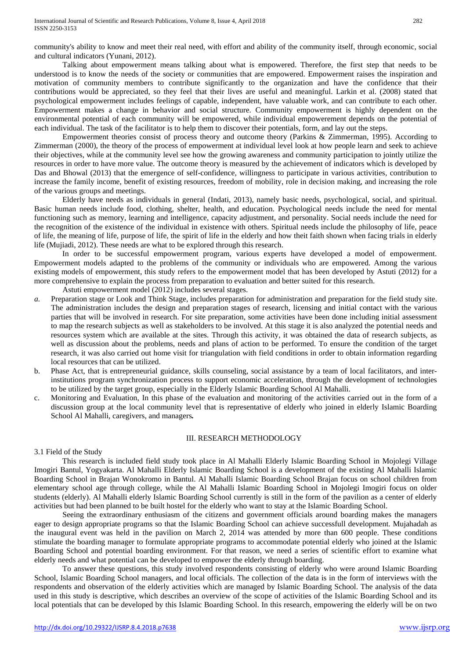community's ability to know and meet their real need, with effort and ability of the community itself, through economic, social and cultural indicators (Yunani, 2012).

Talking about empowerment means talking about what is empowered. Therefore, the first step that needs to be understood is to know the needs of the society or communities that are empowered. Empowerment raises the inspiration and motivation of community members to contribute significantly to the organization and have the confidence that their contributions would be appreciated, so they feel that their lives are useful and meaningful. Larkin et al. (2008) stated that psychological empowerment includes feelings of capable, independent, have valuable work, and can contribute to each other. Empowerment makes a change in behavior and social structure. Community empowerment is highly dependent on the environmental potential of each community will be empowered, while individual empowerement depends on the potential of each individual. The task of the facilitator is to help them to discover their potentials, form, and lay out the steps.

Empowerment theories consist of process theory and outcome theory (Parkins & Zimmerman, 1995). According to Zimmerman (2000), the theory of the process of empowerment at individual level look at how people learn and seek to achieve their objectives, while at the community level see how the growing awareness and community participation to jointly utilize the resources in order to have more value. The outcome theory is measured by the achievement of indicators which is developed by Das and Bhowal (2013) that the emergence of self-confidence, willingness to participate in various activities, contribution to increase the family income, benefit of existing resources, freedom of mobility, role in decision making, and increasing the role of the various groups and meetings.

Elderly have needs as individuals in general (Indati, 2013), namely basic needs, psychological, social, and spiritual. Basic human needs include food, clothing, shelter, health, and education. Psychological needs include the need for mental functioning such as memory, learning and intelligence, capacity adjustment, and personality. Social needs include the need for the recognition of the existence of the individual in existence with others. Spiritual needs include the philosophy of life, peace of life, the meaning of life, purpose of life, the spirit of life in the elderly and how theit faith shown when facing trials in elderly life (Mujiadi, 2012). These needs are what to be explored through this research.

In order to be successful empowerment program, various experts have developed a model of empowerment. Empowerment models adapted to the problems of the community or individuals who are empowered. Among the various existing models of empowerment, this study refers to the empowerment model that has been developed by Astuti (2012) for a more comprehensive to explain the process from preparation to evaluation and better suited for this research.

Astuti empowerment model (2012) includes several stages.

- *a.* Preparation stage or Look and Think Stage, includes preparation for administration and preparation for the field study site. The administration includes the design and preparation stages of research, licensing and initial contact with the various parties that will be involved in research. For site preparation, some activities have been done including initial assessment to map the research subjects as well as stakeholders to be involved. At this stage it is also analyzed the potential needs and resources system which are available at the sites. Through this activity, it was obtained the data of research subjects, as well as discussion about the problems, needs and plans of action to be performed. To ensure the condition of the target research, it was also carried out home visit for triangulation with field conditions in order to obtain information regarding local resources that can be utilized.
- b. Phase Act, that is entrepreneurial guidance, skills counseling, social assistance by a team of local facilitators, and interinstitutions program synchronization process to support economic acceleration, through the development of technologies to be utilized by the target group, especially in the Elderly Islamic Boarding School Al Mahalli.
- c. Monitoring and Evaluation, In this phase of the evaluation and monitoring of the activities carried out in the form of a discussion group at the local community level that is representative of elderly who joined in elderly Islamic Boarding School Al Mahalli, caregivers, and managers*.*

## III. RESEARCH METHODOLOGY

## 3.1 Field of the Study

This research is included field study took place in Al Mahalli Elderly Islamic Boarding School in Mojolegi Village Imogiri Bantul, Yogyakarta. Al Mahalli Elderly Islamic Boarding School is a development of the existing Al Mahalli Islamic Boarding School in Brajan Wonokromo in Bantul. Al Mahalli Islamic Boarding School Brajan focus on school children from elementary school age through college, while the Al Mahalli Islamic Boarding School in Mojolegi Imogiri focus on older students (elderly). Al Mahalli elderly Islamic Boarding School currently is still in the form of the pavilion as a center of elderly activities but had been planned to be built hostel for the elderly who want to stay at the Islamic Boarding School.

Seeing the extraordinary enthusiasm of the citizens and government officials around boarding makes the managers eager to design appropriate programs so that the Islamic Boarding School can achieve successfull development. Mujahadah as the inaugural event was held in the pavilion on March 2, 2014 was attended by more than 600 people. These conditions stimulate the boarding manager to formulate appropriate programs to accommodate potential elderly who joined at the Islamic Boarding School and potential boarding environment. For that reason, we need a series of scientific effort to examine what elderly needs and what potential can be developed to empower the elderly through boarding.

To answer these questions, this study involved respondents consisting of elderly who were around Islamic Boarding School, Islamic Boarding School managers, and local officials. The collection of the data is in the form of interviews with the respondents and observation of the elderly activities which are managed by Islamic Boarding School. The analysis of the data used in this study is descriptive, which describes an overview of the scope of activities of the Islamic Boarding School and its local potentials that can be developed by this Islamic Boarding School. In this research, empowering the elderly will be on two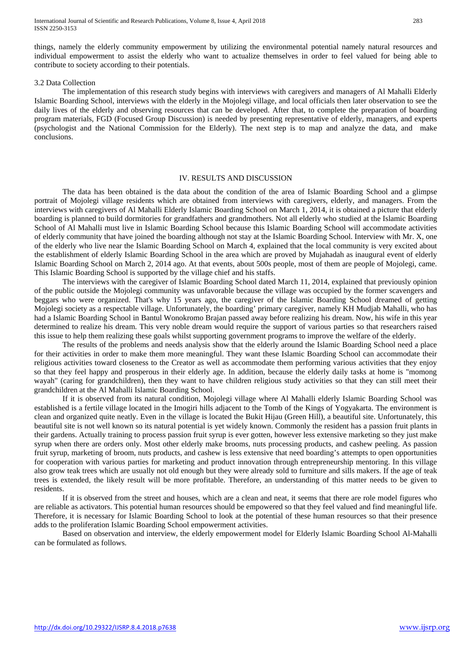things, namely the elderly community empowerment by utilizing the environmental potential namely natural resources and individual empowerment to assist the elderly who want to actualize themselves in order to feel valued for being able to contribute to society according to their potentials.

#### 3.2 Data Collection

The implementation of this research study begins with interviews with caregivers and managers of Al Mahalli Elderly Islamic Boarding School, interviews with the elderly in the Mojolegi village, and local officials then later observation to see the daily lives of the elderly and observing resources that can be developed. After that, to complete the preparation of boarding program materials, FGD (Focused Group Discussion) is needed by presenting representative of elderly, managers, and experts (psychologist and the National Commission for the Elderly). The next step is to map and analyze the data, and make conclusions.

#### IV. RESULTS AND DISCUSSION

The data has been obtained is the data about the condition of the area of Islamic Boarding School and a glimpse portrait of Mojolegi village residents which are obtained from interviews with caregivers, elderly, and managers. From the interviews with caregivers of Al Mahalli Elderly Islamic Boarding School on March 1, 2014, it is obtained a picture that elderly boarding is planned to build dormitories for grandfathers and grandmothers. Not all elderly who studied at the Islamic Boarding School of Al Mahalli must live in Islamic Boarding School because this Islamic Boarding School will accommodate activities of elderly community that have joined the boarding although not stay at the Islamic Boarding School. Interview with Mr. X, one of the elderly who live near the Islamic Boarding School on March 4, explained that the local community is very excited about the establishment of elderly Islamic Boarding School in the area which are proved by Mujahadah as inaugural event of elderly Islamic Boarding School on March 2, 2014 ago. At that events, about 500s people, most of them are people of Mojolegi, came. This Islamic Boarding School is supported by the village chief and his staffs.

The interviews with the caregiver of Islamic Boarding School dated March 11, 2014, explained that previously opinion of the public outside the Mojolegi community was unfavorable because the village was occupied by the former scavengers and beggars who were organized. That's why 15 years ago, the caregiver of the Islamic Boarding School dreamed of getting Mojolegi society as a respectable village. Unfortunately, the boarding' primary caregiver, namely KH Mudjab Mahalli, who has had a Islamic Boarding School in Bantul Wonokromo Brajan passed away before realizing his dream. Now, his wife in this year determined to realize his dream. This very noble dream would require the support of various parties so that researchers raised this issue to help them realizing these goals whilst supporting government programs to improve the welfare of the elderly.

The results of the problems and needs analysis show that the elderly around the Islamic Boarding School need a place for their activities in order to make them more meaningful. They want these Islamic Boarding School can accommodate their religious activities toward closeness to the Creator as well as accommodate them performing various activities that they enjoy so that they feel happy and prosperous in their elderly age. In addition, because the elderly daily tasks at home is "momong wayah" (caring for grandchildren), then they want to have children religious study activities so that they can still meet their grandchildren at the Al Mahalli Islamic Boarding School.

If it is observed from its natural condition, Mojolegi village where Al Mahalli elderly Islamic Boarding School was established is a fertile village located in the Imogiri hills adjacent to the Tomb of the Kings of Yogyakarta. The environment is clean and organized quite neatly. Even in the village is located the Bukit Hijau (Green Hill), a beautiful site. Unfortunately, this beautiful site is not well known so its natural potential is yet widely known. Commonly the resident has a passion fruit plants in their gardens. Actually training to process passion fruit syrup is ever gotten, however less extensive marketing so they just make syrup when there are orders only. Most other elderly make brooms, nuts processing products, and cashew peeling. As passion fruit syrup, marketing of broom, nuts products, and cashew is less extensive that need boarding's attempts to open opportunities for cooperation with various parties for marketing and product innovation through entrepreneurship mentoring. In this village also grow teak trees which are usually not old enough but they were already sold to furniture and sills makers. If the age of teak trees is extended, the likely result will be more profitable. Therefore, an understanding of this matter needs to be given to residents.

If it is observed from the street and houses, which are a clean and neat, it seems that there are role model figures who are reliable as activators. This potential human resources should be empowered so that they feel valued and find meaningful life. Therefore, it is necessary for Islamic Boarding School to look at the potential of these human resources so that their presence adds to the proliferation Islamic Boarding School empowerment activities.

<span id="page-4-0"></span>Based on observation and interview, the elderly empowerment model for Elderly Islamic Boarding School Al-Mahalli can be formulated as follows.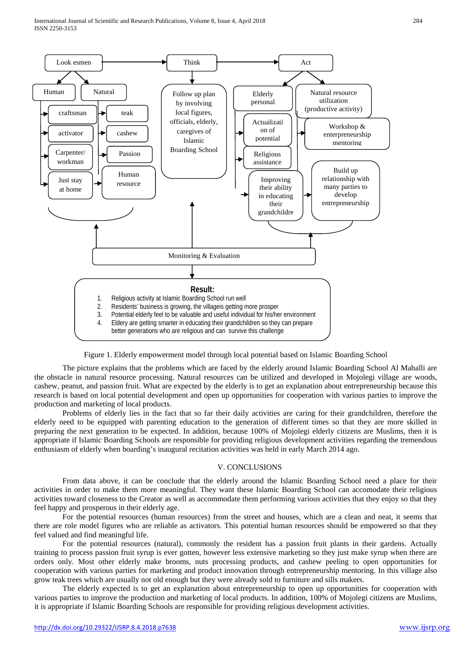International Journal of Scientific and Research Publications, Volume 8, Issue 4, April 2018 284 ISSN 2250-3153



Figure 1. Elderly empowerment model through local potential based on Islamic Boarding School

The picture explains that the problems which are faced by the elderly around Islamic Boarding School Al Mahalli are the obstacle in natural resource processing. Natural resources can be utilized and developed in Mojolegi village are woods, cashew, peanut, and passion fruit. What are expected by the elderly is to get an explanation about entrepreneurship because this research is based on local potential development and open up opportunities for cooperation with various parties to improve the production and marketing of local products.

Problems of elderly lies in the fact that so far their daily activities are caring for their grandchildren, therefore the elderly need to be equipped with parenting education to the generation of different times so that they are more skilled in preparing the next generation to be expected. In addition, because 100% of Mojolegi elderly citizens are Muslims, then it is appropriate if Islamic Boarding Schools are responsible for providing religious development activities regarding the tremendous enthusiasm of elderly when boarding's inaugural recitation activities was held in early March 2014 ago.

# V. CONCLUSIONS

From data above, it can be conclude that the elderly around the Islamic Boarding School need a place for their activities in order to make them more meaningful. They want these Islamic Boarding School can accomodate their religious activities toward closeness to the Creator as well as accommodate them performing various activities that they enjoy so that they feel happy and prosperous in their elderly age.

For the potential resources (human resources) from the street and houses, which are a clean and neat, it seems that there are role model figures who are reliable as activators. This potential human resources should be empowered so that they feel valued and find meaningful life.

For the potential resources (natural), commonly the resident has a passion fruit plants in their gardens. Actually training to process passion fruit syrup is ever gotten, however less extensive marketing so they just make syrup when there are orders only. Most other elderly make brooms, nuts processing products, and cashew peeling to open opportunities for cooperation with various parties for marketing and product innovation through entrepreneurship mentoring. In this village also grow teak trees which are usually not old enough but they were already sold to furniture and sills makers.

The elderly expected is to get an explanation about entrepreneurship to open up opportunities for cooperation with various parties to improve the production and marketing of local products. In addition, 100% of Mojolegi citizens are Muslims, it is appropriate if Islamic Boarding Schools are responsible for providing religious development activities.